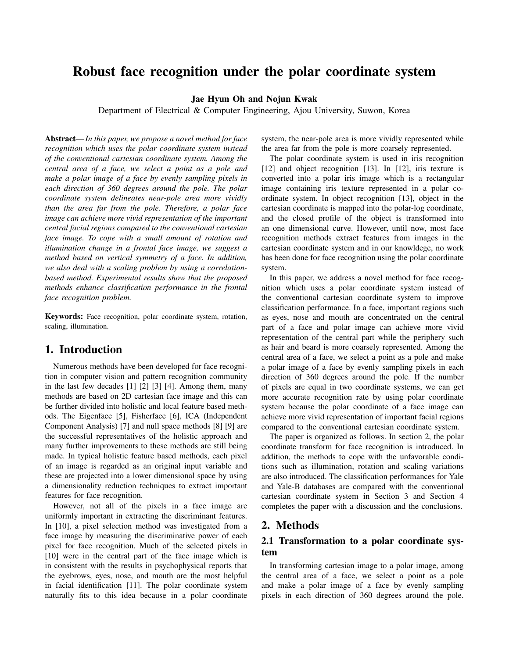# Robust face recognition under the polar coordinate system

Jae Hyun Oh and Nojun Kwak

Department of Electrical & Computer Engineering, Ajou University, Suwon, Korea

Abstract—*In this paper, we propose a novel method for face recognition which uses the polar coordinate system instead of the conventional cartesian coordinate system. Among the central area of a face, we select a point as a pole and make a polar image of a face by evenly sampling pixels in each direction of 360 degrees around the pole. The polar coordinate system delineates near-pole area more vividly than the area far from the pole. Therefore, a polar face image can achieve more vivid representation of the important central facial regions compared to the conventional cartesian face image. To cope with a small amount of rotation and illumination change in a frontal face image, we suggest a method based on vertical symmetry of a face. In addition, we also deal with a scaling problem by using a correlationbased method. Experimental results show that the proposed methods enhance classification performance in the frontal face recognition problem.*

Keywords: Face recognition, polar coordinate system, rotation, scaling, illumination.

## 1. Introduction

Numerous methods have been developed for face recognition in computer vision and pattern recognition community in the last few decades [1] [2] [3] [4]. Among them, many methods are based on 2D cartesian face image and this can be further divided into holistic and local feature based methods. The Eigenface [5], Fisherface [6], ICA (Independent Component Analysis) [7] and null space methods [8] [9] are the successful representatives of the holistic approach and many further improvements to these methods are still being made. In typical holistic feature based methods, each pixel of an image is regarded as an original input variable and these are projected into a lower dimensional space by using a dimensionality reduction techniques to extract important features for face recognition.

However, not all of the pixels in a face image are uniformly important in extracting the discriminant features. In [10], a pixel selection method was investigated from a face image by measuring the discriminative power of each pixel for face recognition. Much of the selected pixels in [10] were in the central part of the face image which is in consistent with the results in psychophysical reports that the eyebrows, eyes, nose, and mouth are the most helpful in facial identification [11]. The polar coordinate system naturally fits to this idea because in a polar coordinate system, the near-pole area is more vividly represented while the area far from the pole is more coarsely represented.

The polar coordinate system is used in iris recognition [12] and object recognition [13]. In [12], iris texture is converted into a polar iris image which is a rectangular image containing iris texture represented in a polar coordinate system. In object recognition [13], object in the cartesian coordinate is mapped into the polar-log coordinate, and the closed profile of the object is transformed into an one dimensional curve. However, until now, most face recognition methods extract features from images in the cartesian coordinate system and in our knowldege, no work has been done for face recognition using the polar coordinate system.

In this paper, we address a novel method for face recognition which uses a polar coordinate system instead of the conventional cartesian coordinate system to improve classification performance. In a face, important regions such as eyes, nose and mouth are concentrated on the central part of a face and polar image can achieve more vivid representation of the central part while the periphery such as hair and beard is more coarsely represented. Among the central area of a face, we select a point as a pole and make a polar image of a face by evenly sampling pixels in each direction of 360 degrees around the pole. If the number of pixels are equal in two coordinate systems, we can get more accurate recognition rate by using polar coordinate system because the polar coordinate of a face image can achieve more vivid representation of important facial regions compared to the conventional cartesian coordinate system.

The paper is organized as follows. In section 2, the polar coordinate transform for face recognition is introduced. In addition, the methods to cope with the unfavorable conditions such as illumination, rotation and scaling variations are also introduced. The classification performances for Yale and Yale-B databases are compared with the conventional cartesian coordinate system in Section 3 and Section 4 completes the paper with a discussion and the conclusions.

## 2. Methods

## 2.1 Transformation to a polar coordinate system

In transforming cartesian image to a polar image, among the central area of a face, we select a point as a pole and make a polar image of a face by evenly sampling pixels in each direction of 360 degrees around the pole.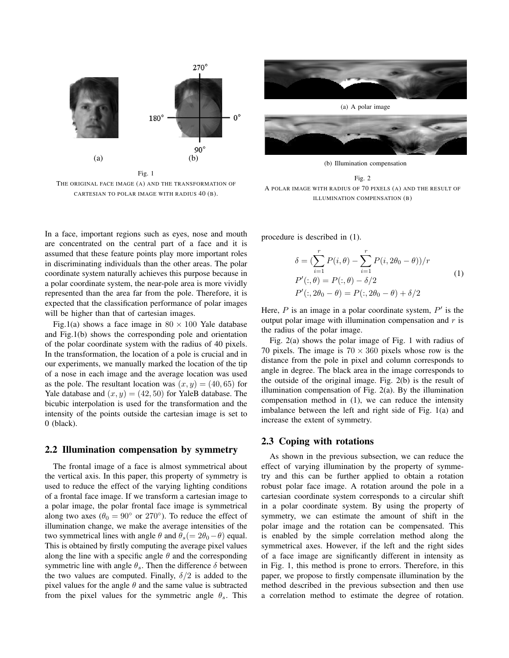

THE ORIGINAL FACE IMAGE (A) AND THE TRANSFORMATION OF CARTESIAN TO POLAR IMAGE WITH RADIUS 40 (B).

In a face, important regions such as eyes, nose and mouth are concentrated on the central part of a face and it is assumed that these feature points play more important roles in discriminating individuals than the other areas. The polar coordinate system naturally achieves this purpose because in a polar coordinate system, the near-pole area is more vividly represented than the area far from the pole. Therefore, it is expected that the classification performance of polar images will be higher than that of cartesian images.

Fig.1(a) shows a face image in  $80 \times 100$  Yale database and Fig.1(b) shows the corresponding pole and orientation of the polar coordinate system with the radius of 40 pixels. In the transformation, the location of a pole is crucial and in our experiments, we manually marked the location of the tip of a nose in each image and the average location was used as the pole. The resultant location was  $(x, y) = (40, 65)$  for Yale database and  $(x, y) = (42, 50)$  for YaleB database. The bicubic interpolation is used for the transformation and the intensity of the points outside the cartesian image is set to 0 (black).

#### 2.2 Illumination compensation by symmetry

The frontal image of a face is almost symmetrical about the vertical axis. In this paper, this property of symmetry is used to reduce the effect of the varying lighting conditions of a frontal face image. If we transform a cartesian image to a polar image, the polar frontal face image is symmetrical along two axes ( $\theta_0 = 90^\circ$  or 270<sup>°</sup>). To reduce the effect of illumination change, we make the average intensities of the two symmetrical lines with angle *θ* and  $θ_s(= 2θ_0 - θ)$  equal. This is obtained by firstly computing the average pixel values along the line with a specific angle  $\theta$  and the corresponding symmetric line with angle  $\theta_s$ . Then the difference  $\delta$  between the two values are computed. Finally,  $\delta/2$  is added to the pixel values for the angle  $\theta$  and the same value is subtracted from the pixel values for the symmetric angle  $\theta_s$ . This



(b) Illumination compensation



procedure is described in (1).

$$
\delta = (\sum_{i=1}^{r} P(i, \theta) - \sum_{i=1}^{r} P(i, 2\theta_0 - \theta))/r
$$
  
\n
$$
P'(:, \theta) = P(:, \theta) - \delta/2
$$
  
\n
$$
P'(:, 2\theta_0 - \theta) = P(:, 2\theta_0 - \theta) + \delta/2
$$
\n(1)

Here, *P* is an image in a polar coordinate system, *P ′* is the output polar image with illumination compensation and *r* is the radius of the polar image.

Fig. 2(a) shows the polar image of Fig. 1 with radius of 70 pixels. The image is  $70 \times 360$  pixels whose row is the distance from the pole in pixel and column corresponds to angle in degree. The black area in the image corresponds to the outside of the original image. Fig. 2(b) is the result of illumination compensation of Fig. 2(a). By the illumination compensation method in (1), we can reduce the intensity imbalance between the left and right side of Fig. 1(a) and increase the extent of symmetry.

#### 2.3 Coping with rotations

As shown in the previous subsection, we can reduce the effect of varying illumination by the property of symmetry and this can be further applied to obtain a rotation robust polar face image. A rotation around the pole in a cartesian coordinate system corresponds to a circular shift in a polar coordinate system. By using the property of symmetry, we can estimate the amount of shift in the polar image and the rotation can be compensated. This is enabled by the simple correlation method along the symmetrical axes. However, if the left and the right sides of a face image are significantly different in intensity as in Fig. 1, this method is prone to errors. Therefore, in this paper, we propose to firstly compensate illumination by the method described in the previous subsection and then use a correlation method to estimate the degree of rotation.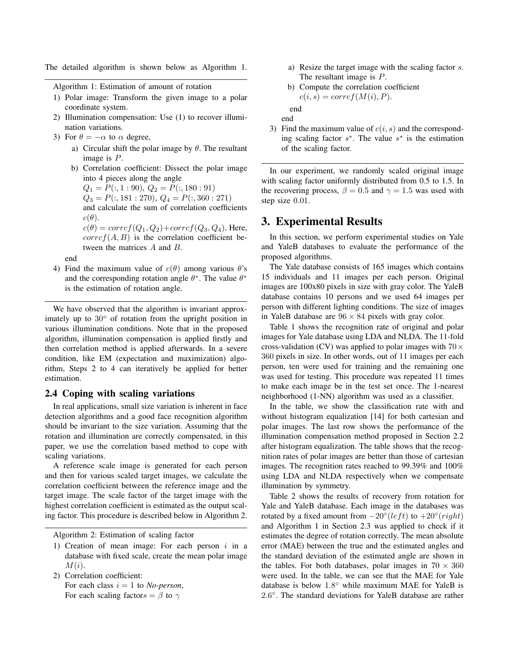The detailed algorithm is shown below as Algorithm 1.

Algorithm 1: Estimation of amount of rotation

- 1) Polar image: Transform the given image to a polar coordinate system.
- 2) Illumination compensation: Use (1) to recover illumination variations.
- 3) For  $\theta = -\alpha$  to  $\alpha$  degree,
	- a) Circular shift the polar image by *θ*. The resultant image is *P*.
	- b) Correlation coefficient: Dissect the polar image into 4 pieces along the angle

 $Q_1 = P(:, 1:90), Q_2 = P(:, 180:91)$ 

- $Q_3 = P(:,181:270), Q_4 = P(:,360:271)$
- and calculate the sum of correlation coefficients  $c(\theta)$ .

 $c(\theta) = \text{corr}cf(Q_1, Q_2) + \text{corr}cf(Q_3, Q_4)$ . Here,  $corref(A, B)$  is the correlation coefficient between the matrices *A* and *B*.

end

4) Find the maximum value of  $c(\theta)$  among various  $\theta$ 's and the corresponding rotation angle  $\theta^*$ . The value  $\theta^*$ is the estimation of rotation angle.

We have observed that the algorithm is invariant approximately up to 30*◦* of rotation from the upright position in various illumination conditions. Note that in the proposed algorithm, illumination compensation is applied firstly and then correlation method is applied afterwards. In a severe condition, like EM (expectation and maximization) algorithm, Steps 2 to 4 can iteratively be applied for better estimation.

## 2.4 Coping with scaling variations

In real applications, small size variation is inherent in face detection algorithms and a good face recognition algorithm should be invariant to the size variation. Assuming that the rotation and illumination are correctly compensated, in this paper, we use the correlation based method to cope with scaling variations.

A reference scale image is generated for each person and then for various scaled target images, we calculate the correlation coefficient between the reference image and the target image. The scale factor of the target image with the highest correlation coefficient is estimated as the output scaling factor. This procedure is described below in Algorithm 2.

Algorithm 2: Estimation of scaling factor

- 1) Creation of mean image: For each person *i* in a database with fixed scale, create the mean polar image *M*(*i*).
- 2) Correlation coefficient: For each class  $i = 1$  to *No-person*, For each scaling factor $s = \beta$  to  $\gamma$
- a) Resize the target image with the scaling factor *s*. The resultant image is *P*.
- b) Compute the correlation coefficient  $c(i, s) = corrcf(M(i), P).$

end end

3) Find the maximum value of *c*(*i, s*) and the corresponding scaling factor *s ∗* . The value *s ∗* is the estimation of the scaling factor.

In our experiment, we randomly scaled original image with scaling factor uniformly distributed from 0.5 to 1.5. In the recovering process,  $\beta = 0.5$  and  $\gamma = 1.5$  was used with step size 0*.*01.

## 3. Experimental Results

In this section, we perform experimental studies on Yale and YaleB databases to evaluate the performance of the proposed algorithms.

The Yale database consists of 165 images which contains 15 individuals and 11 images per each person. Original images are 100x80 pixels in size with gray color. The YaleB database contains 10 persons and we used 64 images per person with different lighting conditions. The size of images in YaleB database are  $96 \times 84$  pixels with gray color.

Table 1 shows the recognition rate of original and polar images for Yale database using LDA and NLDA. The 11-fold cross-validation (CV) was applied to polar images with 70*×* 360 pixels in size. In other words, out of 11 images per each person, ten were used for training and the remaining one was used for testing. This procedure was repeated 11 times to make each image be in the test set once. The 1-nearest neighborhood (1-NN) algorithm was used as a classifier.

In the table, we show the classification rate with and without histogram equalization [14] for both cartesian and polar images. The last row shows the performance of the illumination compensation method proposed in Section 2.2 after histogram equalization. The table shows that the recognition rates of polar images are better than those of cartesian images. The recognition rates reached to 99.39% and 100% using LDA and NLDA respectively when we compensate illumination by symmetry.

Table 2 shows the results of recovery from rotation for Yale and YaleB database. Each image in the databases was rotated by a fixed amount from  $-20^\circ (left)$  to  $+20^\circ (right)$ and Algorithm 1 in Section 2.3 was applied to check if it estimates the degree of rotation correctly. The mean absolute error (MAE) between the true and the estimated angles and the standard deviation of the estimated angle are shown in the tables. For both databases, polar images in  $70 \times 360$ were used. In the table, we can see that the MAE for Yale database is below 1*.*8 *◦* while maximum MAE for YaleB is 2*.*6 *◦* . The standard deviations for YaleB database are rather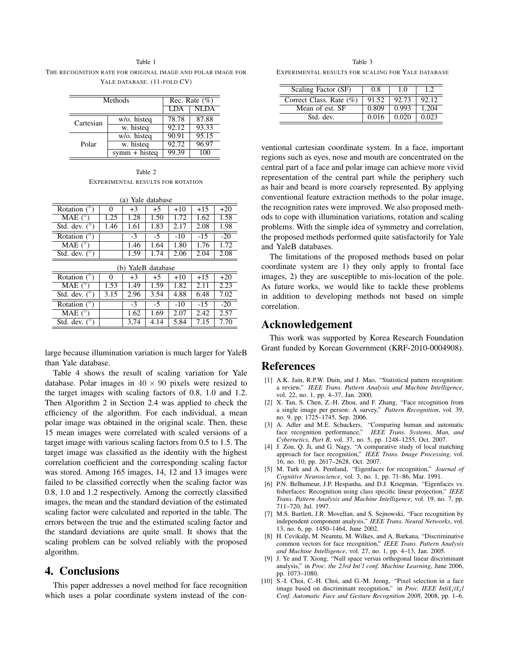Table 1 THE RECOGNITION RATE FOR ORIGINAL IMAGE AND POLAR IMAGE FOR YALE DATABASE. (11-FOLD CV)

| Methods   |                    | Rec. Rate $(\% )$ |             |  |
|-----------|--------------------|-------------------|-------------|--|
|           |                    | <b>LDA</b>        | <b>NLDA</b> |  |
| Cartesian | w/o. histeg        | 78.78             | 87.88       |  |
|           | w. histeq          | 92.12             | 93.33       |  |
| Polar     | w/o. histeg        | 90.91             | 95.15       |  |
|           | w. histeg          | 92.72             | 96.97       |  |
|           | $symm + histogram$ | 99.39             | 100         |  |

Table 2 EXPERIMENTAL RESULTS FOR ROTATION

| Yale database<br>(a)  |          |      |      |       |       |       |  |  |  |
|-----------------------|----------|------|------|-------|-------|-------|--|--|--|
| Rotation $(^\circ)$   | $\theta$ | $+3$ | $+5$ | $+10$ | $+15$ | $+20$ |  |  |  |
| MAE $(^\circ)$        | 1.25     | 1.28 | 1.50 | 1.72  | 1.62  | 1.58  |  |  |  |
| Std. dev. $(^\circ)$  | 1.46     | 1.61 | 1.83 | 2.17  | 2.08  | 1.98  |  |  |  |
| Rotation $(^\circ)$   |          | $-3$ | $-5$ | $-10$ | $-15$ | $-20$ |  |  |  |
| MAE $(^\circ)$        |          | 1.46 | 1.64 | 1.80  | 1.76  | 1.72  |  |  |  |
| Std. dev. $(^\circ)$  |          | 1.59 | 1.74 | 2.06  | 2.04  | 2.08  |  |  |  |
| YaleB database<br>(b) |          |      |      |       |       |       |  |  |  |
|                       |          |      |      |       |       |       |  |  |  |
| Rotation $(°)$        | $\Omega$ | $+3$ | $+5$ | $+10$ | $+15$ | $+20$ |  |  |  |
| MAE $(^\circ)$        | 1.53     | 1.49 | 1.59 | 1.82  | 2.11  | 2.23  |  |  |  |
| Std. dev. $(^\circ)$  | 3.15     | 2.96 | 3.54 | 4.88  | 6.48  | 7.02  |  |  |  |
| Rotation $(^\circ)$   |          | $-3$ | $-5$ | $-10$ | $-15$ | $-20$ |  |  |  |
| MAE $(^\circ)$        |          | 1.62 | 1.69 | 2.07  | 2.42  | 2.57  |  |  |  |

large because illumination variation is much larger for YaleB than Yale database.

Table 4 shows the result of scaling variation for Yale database. Polar images in  $40 \times 90$  pixels were resized to the target images with scaling factors of 0.8, 1.0 and 1.2. Then Algorithm 2 in Section 2.4 was applied to check the efficiency of the algorithm. For each individual, a mean polar image was obtained in the original scale. Then, these 15 mean images were correlated with scaled versions of a target image with various scaling factors from 0.5 to 1.5. The target image was classified as the identity with the highest correlation coefficient and the corresponding scaling factor was stored. Among 165 images, 14, 12 and 13 images were failed to be classified correctly when the scaling factor was 0.8, 1.0 and 1.2 respectively. Among the correctly classified images, the mean and the standard deviation of the estimated scaling factor were calculated and reported in the table. The errors between the true and the estimated scaling factor and the standard deviations are quite small. It shows that the scaling problem can be solved reliably with the proposed algorithm.

## 4. Conclusions

This paper addresses a novel method for face recognition which uses a polar coordinate system instead of the con-

Table 3 EXPERIMENTAL RESULTS FOR SCALING FOR YALE DATABASE

| Scaling Factor (SF)        | 0.8   | 10    |       |
|----------------------------|-------|-------|-------|
| Correct Class. Rate $(\%)$ | 91.52 | 92.73 | 92.12 |
| Mean of est. SF            | 0.809 | 0.993 | 1.204 |
| Std. dev.                  | 0.016 | 0.020 | 0.023 |

ventional cartesian coordinate system. In a face, important regions such as eyes, nose and mouth are concentrated on the central part of a face and polar image can achieve more vivid representation of the central part while the periphery such as hair and beard is more coarsely represented. By applying conventional feature extraction methods to the polar image, the recognition rates were improved. We also proposed methods to cope with illumination variations, rotation and scaling problems. With the simple idea of symmetry and correlation, the proposed methods performed quite satisfactorily for Yale and YaleB databases.

The limitations of the proposed methods based on polar coordinate system are 1) they only apply to frontal face images, 2) they are susceptible to mis-location of the pole. As future works, we would like to tackle these problems in addition to developing methods not based on simple correlation.

# Acknowledgement

This work was supported by Korea Research Foundation Grant funded by Korean Government (KRF-2010-0004908).

## References

- [1] A.K. Jain, R.P.W. Duin, and J. Mao, "Statistical pattern recognition: a review," *IEEE Trans. Pattern Analysis and Machine Intelligence*, vol. 22, no. 1, pp. 4–37, Jan. 2000.
- [2] X. Tan, S. Chen, Z.-H. Zhou, and F. Zhang, "Face recognition from a single image per person: A survey," *Pattern Recognition*, vol. 39, no. 9, pp. 1725–1745, Sep. 2006.
- [3] A. Adler and M.E. Schuckers, "Comparing human and automatic face recognition performance," *IEEE Trans. Systems, Man, and Cybernetics, Part B*, vol. 37, no. 5, pp. 1248–1255, Oct. 2007.
- [4] J. Zou, Q. Ji, and G. Nagy, "A comparative study of local matching approach for face recognition," *IEEE Trans. Image Processing*, vol. 16, no. 10, pp. 2617–2628, Oct. 2007.
- [5] M. Turk and A. Pentland, "Eigenfaces for recognition," *Journal of Cognitive Neuroscience*, vol. 3, no. 1, pp. 71–86, Mar. 1991.
- [6] P.N. Belhumeur, J.P. Hespanha, and D.J. Kriegman, "Eigenfaces vs. fisherfaces: Recognition using class specific linear projection," *IEEE Trans. Pattern Analysis and Machine Intelligence*, vol. 19, no. 7, pp. 711–720, Jul. 1997.
- [7] M.S. Bartlett, J.R. Movellan, and S. Sejnowski, "Face recognition by independent component analysis," *IEEE Trans. Neural Networks*, vol. 13, no. 6, pp. 1450–1464, June 2002.
- [8] H. Cevikalp, M. Neamtu, M. Wilkes, and A. Barkana, "Discriminative common vectors for face recognition," *IEEE Trans. Pattern Analysis and Machine Intelligence*, vol. 27, no. 1, pp. 4–13, Jan. 2005.
- [9] J. Ye and T. Xiong, "Null space versus orthogonal linear discriminant analysis," in *Proc. the 23rd Int'l conf. Machine Learning*, June 2006, pp. 1073–1080.
- [10] S.-I. Choi, C.-H. Choi, and G.-M. Jeong, "Pixel selection in a face image based on discriminant recognition," in *Proc. IEEE Inti£<sub>i</sub>ï£<sub>i</sub>l Conf. Automatic Face and Gesture Recognition 2008*, 2008, pp. 1–6.